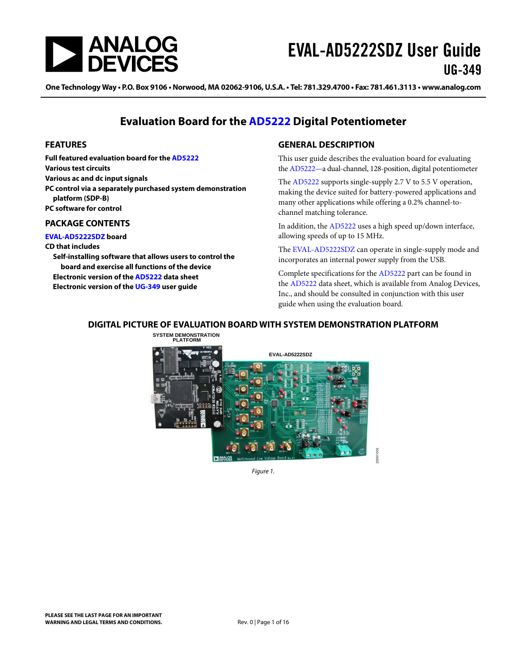

One Technology Way • P.O. Box 9106 • Norwood, MA 02062-9106, U.S.A. • Tel: 781.329.4700 • Fax: 781.461.3113 • www.analog.com

### **Evaluation Board for the [AD5222](http://www.analog.com/ad5222) Digital Potentiometer**

### <span id="page-0-0"></span>**FEATURES**

**Full featured evaluation board for the [AD5222](http://www.analog.com/ad5222) Various test circuits Various ac and dc input signals PC control via a separately purchased system demonstration platform (SDP-B) PC software for control**

### <span id="page-0-1"></span>**PACKAGE CONTENTS**

**[EVAL-AD5222SDZ](http://www.analog.com/AD5222) board**

#### **CD that includes**

**Self-installing software that allows users to control the board and exercise all functions of the device Electronic version of th[e AD5222](http://www.analog.com/ad5222) data sheet Electronic version of the [UG-349](http://www.analog.com/ug-349) user guide**

### <span id="page-0-2"></span>**GENERAL DESCRIPTION**

This user guide describes the evaluation board for evaluating th[e AD5222—](http://www.analog.com/AD5222)a dual-channel, 128-position, digital potentiometer

The [AD5222](http://www.analog.com/AD5222) supports single-supply 2.7 V to 5.5 V operation, making the device suited for battery-powered applications and many other applications while offering a 0.2% channel-tochannel matching tolerance.

In addition, the [AD5222](http://www.analog.com/AD5222) uses a high speed up/down interface, allowing speeds of up to 15 MHz.

The [EVAL-AD5222SDZ](http://www.analog.com/AD5222) can operate in single-supply mode and incorporates an internal power supply from the USB.

Complete specifications for the [AD5222](http://www.analog.com/AD5222) part can be found in the [AD5222](http://www.analog.com/AD5222) data sheet, which is available from Analog Devices, Inc., and should be consulted in conjunction with this user guide when using the evaluation board.

10367-001

#### <span id="page-0-3"></span>**DIGITAL PICTURE OF EVALUATION BOARD WITH SYSTEM DEMONSTRATION PLATFORM**

**SYSTEM DEMONSTRATION PLATFORM**



*Figure 1.*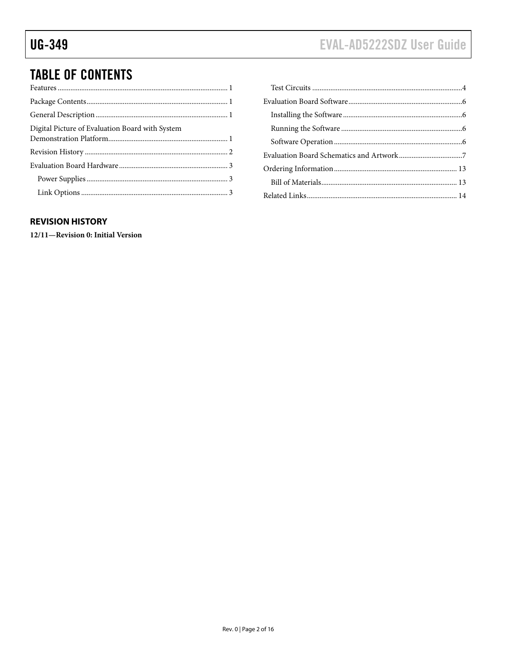# **TABLE OF CONTENTS**

| Digital Picture of Evaluation Board with System |  |
|-------------------------------------------------|--|
|                                                 |  |
|                                                 |  |
|                                                 |  |
|                                                 |  |

### 

### <span id="page-1-0"></span>**REVISION HISTORY**

12/11-Revision 0: Initial Version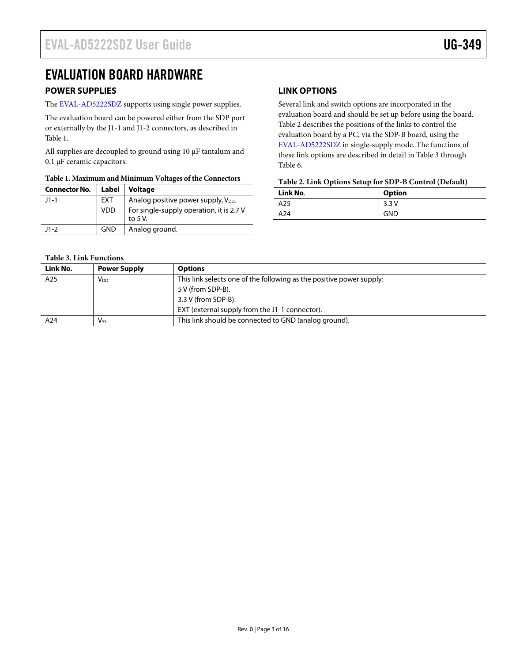## <span id="page-2-0"></span>EVALUATION BOARD HARDWARE

### <span id="page-2-1"></span>**POWER SUPPLIES**

The [EVAL-AD5222SDZ](http://www.analog.com/AD5222) supports using single power supplies.

The evaluation board can be powered either from the SDP port or externally by the J1-1 and J1-2 connectors, as described in [Table 1.](#page-2-3)

All supplies are decoupled to ground using 10  $\mu$ F tantalum and 0.1 µF ceramic capacitors.

### <span id="page-2-3"></span>**Table 1. Maximum and Minimum Voltages of the Connectors**

| <b>Connector No.</b> | Label      | Voltage                                               |  |
|----------------------|------------|-------------------------------------------------------|--|
| $11 - 1$             | EXT        | Analog positive power supply, V <sub>DD</sub> .       |  |
|                      | <b>VDD</b> | For single-supply operation, it is 2.7 V<br>to $5V$ . |  |
| $11-2$               | <b>GND</b> | Analog ground.                                        |  |

### <span id="page-2-2"></span>**LINK OPTIONS**

Several link and switch options are incorporated in the evaluation board and should be set up before using the board. [Table 2](#page-2-4) describes the positions of the links to control the evaluation board by a PC, via the SDP-B board, using the [EVAL-AD5222SDZ](http://www.analog.com/AD5222) in single-supply mode. The functions of these link options are described in detail in [Table 3](#page-2-5) through [Table 6.](#page-4-0)

### <span id="page-2-4"></span>**Table 2. Link Options Setup for SDP-B Control (Default)**

| Link No. | <b>Option</b> |
|----------|---------------|
| A25      | 3.3V          |
| A24      | <b>GND</b>    |

### <span id="page-2-5"></span>**Table 3. Link Functions**

| Link No. | <b>Power Supply</b>   | <b>Options</b>                                                       |
|----------|-----------------------|----------------------------------------------------------------------|
| A25      | V <sub>DD</sub>       | This link selects one of the following as the positive power supply: |
|          |                       | 5 V (from SDP-B).                                                    |
|          |                       | 3.3 V (from SDP-B).                                                  |
|          |                       | EXT (external supply from the J1-1 connector).                       |
| A24      | <b>V<sub>ss</sub></b> | This link should be connected to GND (analog ground).                |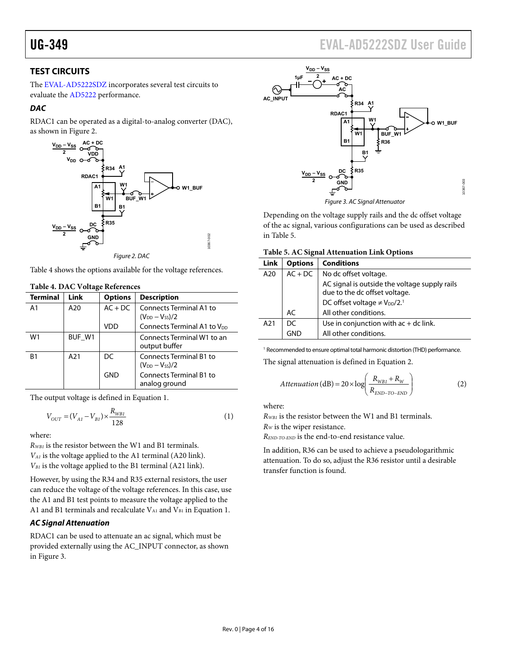## UG-349 EVAL-AD5222SDZ User Guide

### <span id="page-3-0"></span>**TEST CIRCUITS**

The [EVAL-AD5222SDZ i](http://www.analog.com/AD5222)ncorporates several test circuits to evaluate th[e AD5222](http://www.analog.com/AD5222) performance.

### **DAC**

RDAC1 can be operated as a digital-to-analog converter (DAC), as shown i[n Figure 2.](#page-3-1) 



<span id="page-3-1"></span>[Table 4](#page-3-2) shows the options available for the voltage references.

| $1.0017$ $1.0017$ $1.0017$ |        |                |                                                         |  |  |
|----------------------------|--------|----------------|---------------------------------------------------------|--|--|
| <b>Terminal</b>            | Link   | <b>Options</b> | <b>Description</b>                                      |  |  |
| A <sub>1</sub>             | A20    | $AC + DC$      | <b>Connects Terminal A1 to</b><br>$(V_{DD} - V_{SS})/2$ |  |  |
|                            |        | VDD            | Connects Terminal A1 to V <sub>DD</sub>                 |  |  |
| W1                         | BUF W1 |                | Connects Terminal W1 to an<br>output buffer             |  |  |
| B <sub>1</sub>             | A21    | DC             | <b>Connects Terminal B1 to</b><br>$(V_{DD} - V_{SS})/2$ |  |  |
|                            |        | <b>GND</b>     | <b>Connects Terminal B1 to</b><br>analog ground         |  |  |
|                            |        |                |                                                         |  |  |

### <span id="page-3-2"></span>**Table 4. DAC Voltage References**

The output voltage is defined in Equation 1.

$$
V_{OUT} = (V_{AI} - V_{BI}) \times \frac{R_{WBI}}{128}
$$
 (1)

where:

*RWB1* is the resistor between the W1 and B1 terminals. *VA1* is the voltage applied to the A1 terminal (A20 link). *VB1* is the voltage applied to the B1 terminal (A21 link).

However, by using the R34 and R35 external resistors, the user can reduce the voltage of the voltage references. In this case, use the A1 and B1 test points to measure the voltage applied to the A1 and B1 terminals and recalculate  $V_{A1}$  and  $V_{B1}$  in Equation 1.

### **AC Signal Attenuation**

RDAC1 can be used to attenuate an ac signal, which must be provided externally using the AC\_INPUT connector, as shown in [Figure 3.](#page-3-3)



Figure 3. AC Signal Attenuator

<span id="page-3-3"></span>Depending on the voltage supply rails and the dc offset voltage of the ac signal, various configurations can be used as described in [Table 5.](#page-3-4)

<span id="page-3-4"></span>

| Table 5. AC Signal Attenuation Link Options |  |  |  |
|---------------------------------------------|--|--|--|
|---------------------------------------------|--|--|--|

| <b>Link</b> | <b>Options</b> | <b>Conditions</b>                                                              |  |
|-------------|----------------|--------------------------------------------------------------------------------|--|
| A20         | $AC + DC$      | No dc offset voltage.                                                          |  |
|             |                | AC signal is outside the voltage supply rails<br>due to the dc offset voltage. |  |
|             |                | DC offset voltage $\neq$ V <sub>DD</sub> /2. <sup>1</sup>                      |  |
|             | AC             | All other conditions.                                                          |  |
| A21         | DC             | Use in conjunction with $ac + dc$ link.                                        |  |
|             |                | All other conditions.                                                          |  |

<sup>1</sup> Recommended to ensure optimal total harmonic distortion (THD) performance. The signal attenuation is defined in Equation 2.

$$
Attention (dB) = 20 \times \log \left( \frac{R_{WB1} + R_W}{R_{END-TO-END}} \right)
$$
 (2)

where:

*RWB1* is the resistor between the W1 and B1 terminals.

*RW* is the wiper resistance.

*REND-TO-END* is the end-to-end resistance value.

In addition, R36 can be used to achieve a pseudologarithmic attenuation. To do so, adjust the R36 resistor until a desirable transfer function is found.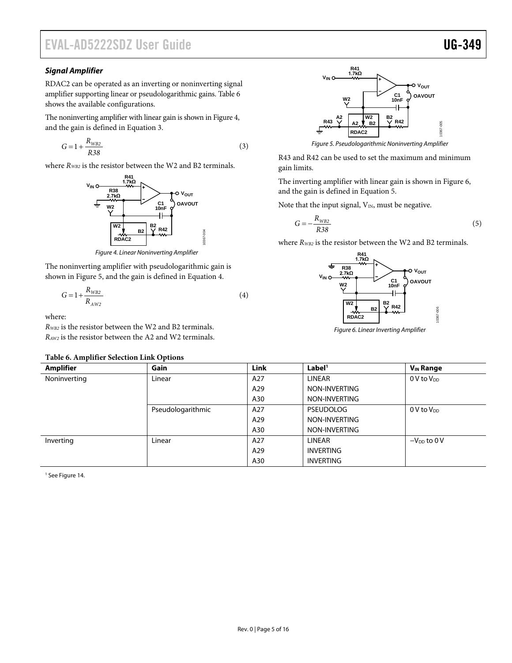# EVAL-AD5222SDZ User Guide Valley and the UG-349

### *Signal Amplifier*

RDAC2 can be operated as an inverting or noninverting signal amplifier supporting linear or pseudologarithmic gains. [Table 6](#page-4-0) shows the available configurations.

The noninverting amplifier with linear gain is shown i[n Figure 4,](#page-4-1) and the gain is defined in Equation 3.

$$
G = 1 + \frac{R_{WB2}}{R38} \tag{3}
$$

where  $R_{WB2}$  is the resistor between the W2 and B2 terminals.



*Figure 4. Linear Noninverting Amplifier*

<span id="page-4-1"></span>The noninverting amplifier with pseudologarithmic gain is shown in [Figure 5,](#page-4-2) and the gain is defined in Equation 4.

$$
G = 1 + \frac{R_{WB2}}{R_{AW2}}\tag{4}
$$

where:

*RWB2* is the resistor between the W2 and B2 terminals. *RAW2* is the resistor between the A2 and W2 terminals.

### <span id="page-4-0"></span>**Table 6. Amplifier Selection Link Options**



*Figure 5. Pseudologarithmic Noninverting Amplifier*

<span id="page-4-2"></span>R43 and R42 can be used to set the maximum and minimum gain limits.

The inverting amplifier with linear gain is shown in [Figure 6,](#page-4-3) and the gain is defined in Equation 5.

Note that the input signal,  $V_{IN}$ , must be negative.

$$
G = -\frac{R_{WB2}}{R38} \tag{5}
$$

where  $R_{WB2}$  is the resistor between the W2 and B2 terminals.



<span id="page-4-3"></span>*Figure 6. Linear Inverting Amplifier*

| Table 6. Amplifier Sciection Link Options |                   |      |                    |                             |
|-------------------------------------------|-------------------|------|--------------------|-----------------------------|
| <b>Amplifier</b>                          | <b>Gain</b>       | Link | Label <sup>1</sup> | <b>V<sub>IN</sub></b> Range |
| Noninverting                              | Linear            | A27  | LINEAR             | $0$ V to $V_{DD}$           |
|                                           |                   | A29  | NON-INVERTING      |                             |
|                                           |                   | A30  | NON-INVERTING      |                             |
|                                           | Pseudologarithmic | A27  | <b>PSEUDOLOG</b>   | $0 V$ to $V_{DD}$           |
|                                           |                   | A29  | NON-INVERTING      |                             |
|                                           |                   | A30  | NON-INVERTING      |                             |
| Inverting                                 | Linear            | A27  | LINEAR             | $-V_{DD}$ to 0 V            |
|                                           |                   | A29  | <b>INVERTING</b>   |                             |
|                                           |                   | A30  | <b>INVERTING</b>   |                             |

<sup>1</sup> Se[e Figure 14.](#page-10-0)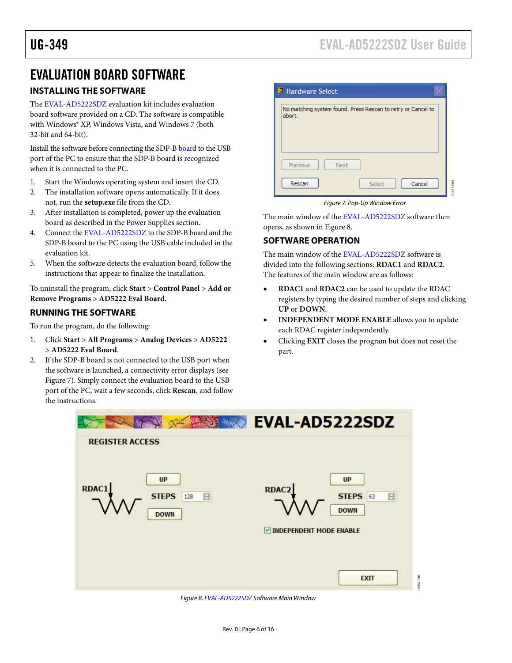## <span id="page-5-0"></span>EVALUATION BOARD SOFTWARE

### <span id="page-5-1"></span>**INSTALLING THE SOFTWARE**

The [EVAL-AD5222SDZ](http://www.analog.com/AD5222) evaluation kit includes evaluation board software provided on a CD. The software is compatible with Windows® XP, Windows Vista, and Windows 7 (both 32-bit and 64-bit).

Install the software before connecting the [SDP-B](http://www.analog.com/blackfin_hwsdpb) board to the USB port of the PC to ensure that the SDP-B board is recognized when it is connected to the PC.

- 1. Start the Windows operating system and insert the CD.
- 2. The installation software opens automatically. If it does not, run the **setup.exe** file from the CD.
- 3. After installation is completed, power up the evaluation board as described in the [Power Supplies](#page-2-1) section.
- 4. Connect th[e EVAL-AD5222SDZ](http://www.analog.com/AD5222) to the SDP-B board and the SDP-B board to the PC using the USB cable included in the evaluation kit.
- 5. When the software detects the evaluation board, follow the instructions that appear to finalize the installation.

To uninstall the program, click **Start** > **Control Panel** > **Add or Remove Programs** > **AD5222 Eval Board.**

### <span id="page-5-2"></span>**RUNNING THE SOFTWARE**

To run the program, do the following:

- 1. Click **Start** > **All Programs** > **Analog Devices** > **AD5222** > **AD5222 Eval Board**.
- 2. If the SDP-B board is not connected to the USB port when the software is launched, a connectivity error displays (see [Figure 7\)](#page-5-4). Simply connect the evaluation board to the USB port of the PC, wait a few seconds, click **Rescan**, and follow the instructions.

| Hardware Select                                                        |  |
|------------------------------------------------------------------------|--|
| No matching system found. Press Rescan to retry or Cancel to<br>abort. |  |
|                                                                        |  |
|                                                                        |  |
| Previous<br>Next                                                       |  |
|                                                                        |  |
| Cancel<br>Rescan<br>Select                                             |  |

*Figure 7. Pop-Up Window Error*

<span id="page-5-4"></span>The main window of th[e EVAL-AD5222SDZ](http://www.analog.com/AD5222) software then opens, as shown i[n Figure 8.](#page-5-5)

### <span id="page-5-3"></span>**SOFTWARE OPERATION**

The main window of th[e EVAL-AD5222SDZ](http://www.analog.com/AD5222) software is divided into the following sections: **RDAC1** and **RDAC2**. The features of the main window are as follows:

- **RDAC1** and **RDAC2** can be used to update the RDAC registers by typing the desired number of steps and clicking **UP** or **DOWN**.
- **INDEPENDENT MODE ENABLE** allows you to update each RDAC register independently.
- Clicking **EXIT** closes the program but does not reset the part.



<span id="page-5-5"></span>*Figure 8[. EVAL-AD5222SDZ](http://www.analog.com/AD5222) Software Main Window*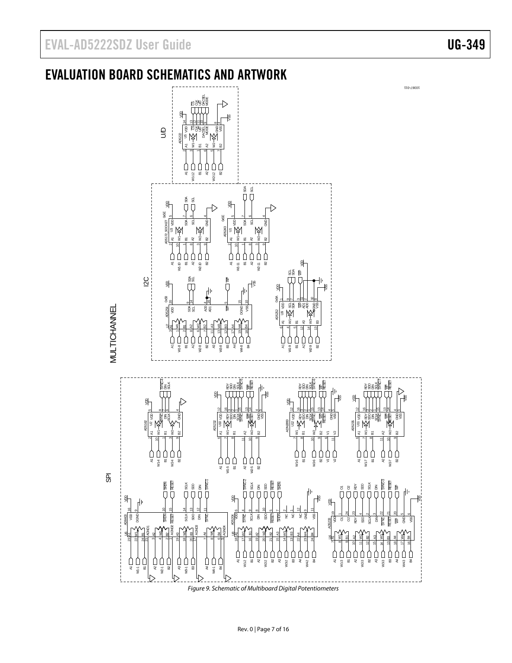# <span id="page-6-0"></span>EVALUATION BOARD SCHEMATICS AND ARTWORK

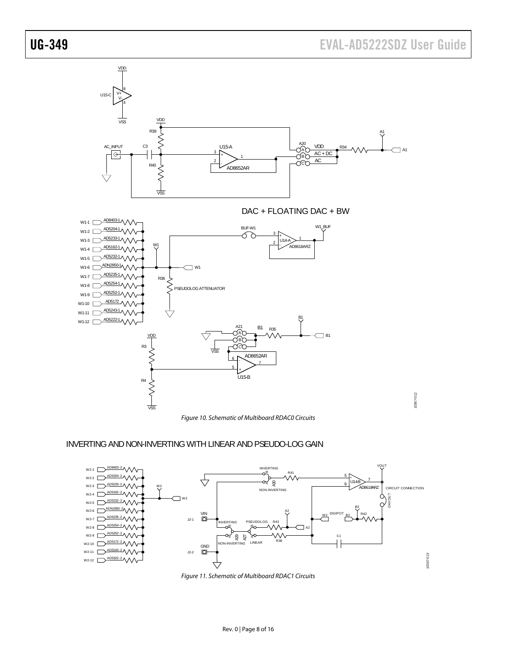

### INVERTING AND NON-INVERTING WITH LINEAR AND PSEUDO-LOG GAIN



*Figure 11. Schematic of Multiboard RDAC1 Circuits*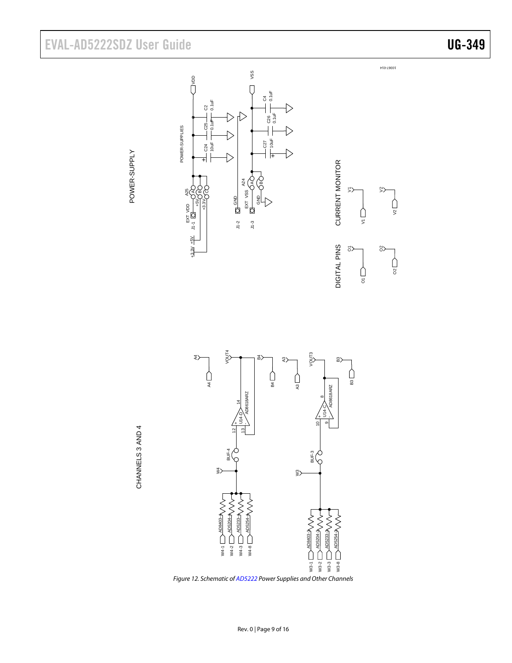# EVAL-AD5222SDZ User Guide Valley Contract Contract Contract Contract Contract Contract Contract Contract Contract Contract Contract Contract Contract Contract Contract Contract Contract Contract Contract Contract Contract



DIGITAL PINS CURRENT MONITOR

DIGITAL PINS

**CURRENT MONITOR** 

 $\Sigma$ 

 $\frac{1}{5}$ 

 $\bigcap_{5}$ 

 $5$ 

 $\degree$ 

 $\bigcap_{\mathfrak{S}}$ 

 $\bigcap_{\infty}$ 

 $\gg$ 





*Figure 12. Schematic o[f AD5222](http://www.analog.com/AD5222) Power Supplies and Other Channels*



 $\triangleright$ 

C26 0.1uF

 $\mathfrak{F}% _{A}$ 0.1uF

VSS

Г

+ខ2<br>ខេ

**GND** EXT VSS GND

AB

A24

 $\rightarrow$ 

J1-2 J1-3

POWER-SUPPLIES

POWER-SUPPLIES

+ $\frac{1}{2}$  $-24$ <br> $+0uF$ 

້ິ 0.1uF

ខ<br>ខ<br>ខ =

VDD

EXT VDD +5V +3.3V

A25

5<br>5

+3.3V +5V

 $\frac{13.3V}{10} + 5V$ 

A $\circ$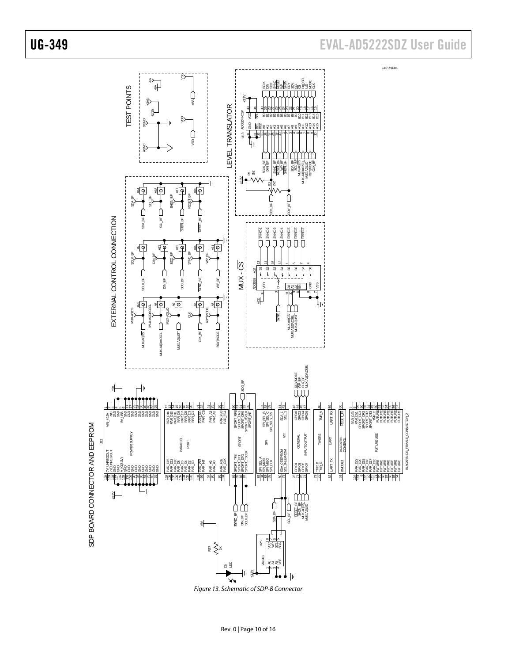

Figure 13. Schematic of SDP-B Connector

# UG-349 EVAL-AD5222SDZ User Guide

10367-015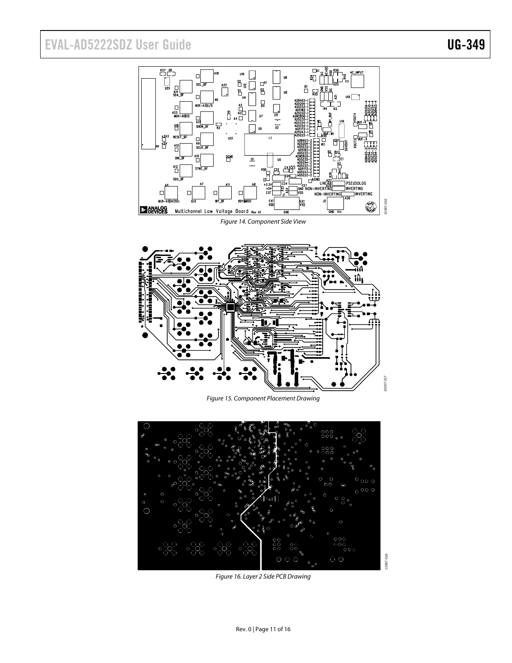# EVAL-AD5222SDZ User Guide Valley Contract Contract Contract Contract Contract Contract Contract Contract Contract Contract Contract Contract Contract Contract Contract Contract Contract Contract Contract Contract Contract



<span id="page-10-0"></span>

*Figure 15. Component Placement Drawing*



*Figure 16. Layer 2 Side PCB Drawing*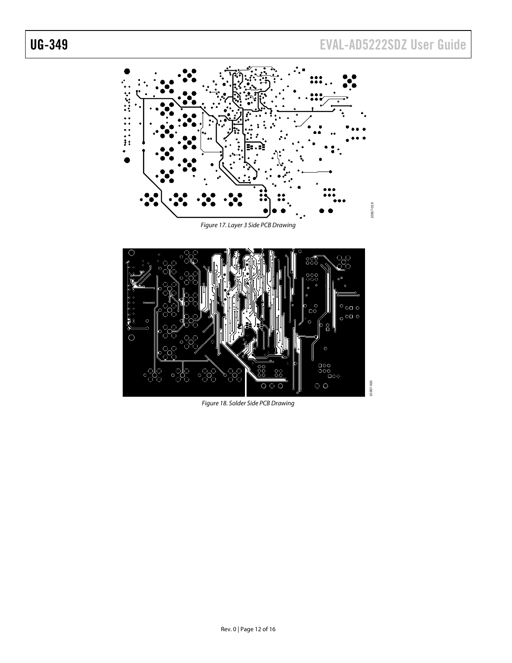10367-020

10367-020





*Figure 18. Solder Side PCB Drawing*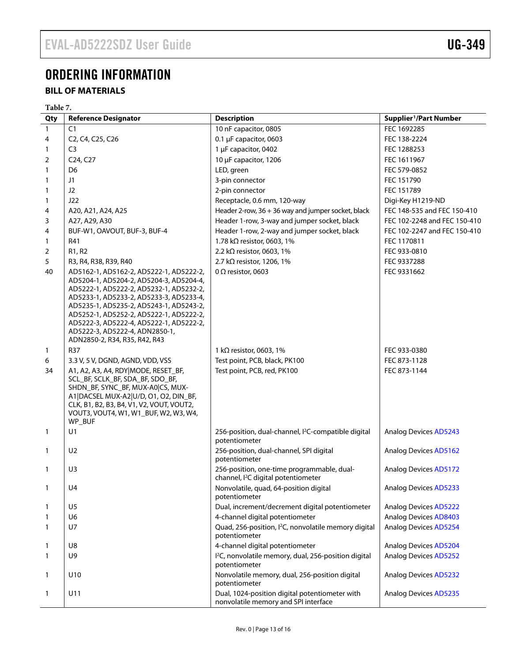# <span id="page-12-0"></span>ORDERING INFORMATION

### <span id="page-12-1"></span>**BILL OF MATERIALS**

|              | Table 7.                                                                                                                                                                                                                                                                                                                                                                     |                                                                                               |                                    |  |  |
|--------------|------------------------------------------------------------------------------------------------------------------------------------------------------------------------------------------------------------------------------------------------------------------------------------------------------------------------------------------------------------------------------|-----------------------------------------------------------------------------------------------|------------------------------------|--|--|
| Qty          | <b>Reference Designator</b>                                                                                                                                                                                                                                                                                                                                                  | <b>Description</b>                                                                            | Supplier <sup>1</sup> /Part Number |  |  |
| $\mathbf{1}$ | C1                                                                                                                                                                                                                                                                                                                                                                           | 10 nF capacitor, 0805                                                                         | FEC 1692285                        |  |  |
| 4            | C2, C4, C25, C26                                                                                                                                                                                                                                                                                                                                                             | 0.1 µF capacitor, 0603                                                                        | FEC 138-2224                       |  |  |
| 1            | C <sub>3</sub>                                                                                                                                                                                                                                                                                                                                                               | 1 µF capacitor, 0402                                                                          | FEC 1288253                        |  |  |
| 2            | C <sub>24</sub> , C <sub>27</sub>                                                                                                                                                                                                                                                                                                                                            | 10 µF capacitor, 1206                                                                         | FEC 1611967                        |  |  |
| 1            | D <sub>6</sub>                                                                                                                                                                                                                                                                                                                                                               | LED, green                                                                                    | FEC 579-0852                       |  |  |
| 1            | J1                                                                                                                                                                                                                                                                                                                                                                           | 3-pin connector                                                                               | FEC 151790                         |  |  |
| 1            | J2                                                                                                                                                                                                                                                                                                                                                                           | 2-pin connector                                                                               | FEC 151789                         |  |  |
| 1            | J22                                                                                                                                                                                                                                                                                                                                                                          | Receptacle, 0.6 mm, 120-way                                                                   | Digi-Key H1219-ND                  |  |  |
| 4            | A20, A21, A24, A25                                                                                                                                                                                                                                                                                                                                                           | Header 2-row, 36 + 36 way and jumper socket, black                                            | FEC 148-535 and FEC 150-410        |  |  |
| 3            | A27, A29, A30                                                                                                                                                                                                                                                                                                                                                                | Header 1-row, 3-way and jumper socket, black                                                  | FEC 102-2248 and FEC 150-410       |  |  |
| 4            | BUF-W1, OAVOUT, BUF-3, BUF-4                                                                                                                                                                                                                                                                                                                                                 | Header 1-row, 2-way and jumper socket, black                                                  | FEC 102-2247 and FEC 150-410       |  |  |
| 1            | R41                                                                                                                                                                                                                                                                                                                                                                          | 1.78 k $\Omega$ resistor, 0603, 1%                                                            | FEC 1170811                        |  |  |
| 2            | R1, R2                                                                                                                                                                                                                                                                                                                                                                       | 2.2 k $\Omega$ resistor, 0603, 1%                                                             | FEC 933-0810                       |  |  |
| 5            | R3, R4, R38, R39, R40                                                                                                                                                                                                                                                                                                                                                        | 2.7 k $\Omega$ resistor, 1206, 1%                                                             | FEC 9337288                        |  |  |
| 40           | AD5162-1, AD5162-2, AD5222-1, AD5222-2,<br>AD5204-1, AD5204-2, AD5204-3, AD5204-4,<br>AD5222-1, AD5222-2, AD5232-1, AD5232-2,<br>AD5233-1, AD5233-2, AD5233-3, AD5233-4,<br>AD5235-1, AD5235-2, AD5243-1, AD5243-2,<br>AD5252-1, AD5252-2, AD5222-1, AD5222-2,<br>AD5222-3, AD5222-4, AD5222-1, AD5222-2,<br>AD5222-3, AD5222-4, ADN2850-1,<br>ADN2850-2, R34, R35, R42, R43 | 0 $\Omega$ resistor, 0603                                                                     | FEC 9331662                        |  |  |
| $\mathbf{1}$ | R37                                                                                                                                                                                                                                                                                                                                                                          | 1 k $\Omega$ resistor, 0603, 1%                                                               | FEC 933-0380                       |  |  |
| 6            | 3.3 V, 5 V, DGND, AGND, VDD, VSS                                                                                                                                                                                                                                                                                                                                             | Test point, PCB, black, PK100                                                                 | FEC 873-1128                       |  |  |
| 34           | A1, A2, A3, A4, RDY MODE, RESET_BF,<br>SCL_BF, SCLK_BF, SDA_BF, SDO_BF,<br>SHDN_BF, SYNC_BF, MUX-A0 CS, MUX-<br>A1 DACSEL MUX-A2 U/D, O1, O2, DIN_BF,<br>CLK, B1, B2, B3, B4, V1, V2, VOUT, VOUT2,<br>VOUT3, VOUT4, W1, W1_BUF, W2, W3, W4,<br>WP_BUF                                                                                                                        | Test point, PCB, red, PK100                                                                   | FEC 873-1144                       |  |  |
| $\mathbf{1}$ | U1                                                                                                                                                                                                                                                                                                                                                                           | 256-position, dual-channel, l <sup>2</sup> C-compatible digital<br>potentiometer              | <b>Analog Devices AD5243</b>       |  |  |
| $\mathbf{1}$ | U <sub>2</sub>                                                                                                                                                                                                                                                                                                                                                               | 256-position, dual-channel, SPI digital<br>potentiometer                                      | <b>Analog Devices AD5162</b>       |  |  |
| 1            | U <sub>3</sub>                                                                                                                                                                                                                                                                                                                                                               | 256-position, one-time programmable, dual-<br>channel, I <sup>2</sup> C digital potentiometer | <b>Analog Devices AD5172</b>       |  |  |
| 1            | U4                                                                                                                                                                                                                                                                                                                                                                           | Nonvolatile, quad, 64-position digital<br>potentiometer                                       | <b>Analog Devices AD5233</b>       |  |  |
| 1            | U <sub>5</sub>                                                                                                                                                                                                                                                                                                                                                               | Dual, increment/decrement digital potentiometer                                               | <b>Analog Devices AD5222</b>       |  |  |
| 1            | U6                                                                                                                                                                                                                                                                                                                                                                           | 4-channel digital potentiometer                                                               | <b>Analog Devices AD8403</b>       |  |  |
| 1            | U7                                                                                                                                                                                                                                                                                                                                                                           | Quad, 256-position, I <sup>2</sup> C, nonvolatile memory digital<br>potentiometer             | <b>Analog Devices AD5254</b>       |  |  |
| 1            | U8                                                                                                                                                                                                                                                                                                                                                                           | 4-channel digital potentiometer                                                               | <b>Analog Devices AD5204</b>       |  |  |
| 1            | U9                                                                                                                                                                                                                                                                                                                                                                           | I <sup>2</sup> C, nonvolatile memory, dual, 256-position digital<br>potentiometer             | <b>Analog Devices AD5252</b>       |  |  |
| 1            | U10                                                                                                                                                                                                                                                                                                                                                                          | Nonvolatile memory, dual, 256-position digital<br>potentiometer                               | <b>Analog Devices AD5232</b>       |  |  |
| 1            | U11                                                                                                                                                                                                                                                                                                                                                                          | Dual, 1024-position digital potentiometer with<br>nonvolatile memory and SPI interface        | <b>Analog Devices AD5235</b>       |  |  |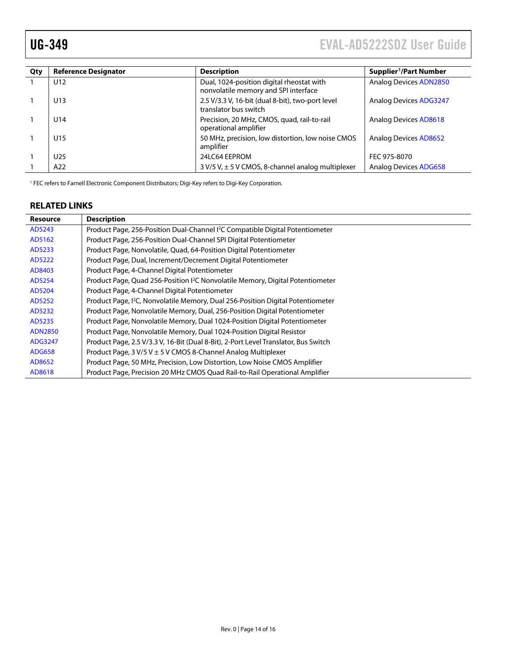<span id="page-13-1"></span>

| Qty | <b>Reference Designator</b> | <b>Description</b>                                                                | Supplier <sup>1</sup> /Part Number |
|-----|-----------------------------|-----------------------------------------------------------------------------------|------------------------------------|
|     | U <sub>12</sub>             | Dual, 1024-position digital rheostat with<br>nonvolatile memory and SPI interface | <b>Analog Devices ADN2850</b>      |
|     | U13                         | 2.5 V/3.3 V, 16-bit (dual 8-bit), two-port level<br>translator bus switch         | <b>Analog Devices ADG3247</b>      |
|     | U14                         | Precision, 20 MHz, CMOS, quad, rail-to-rail<br>operational amplifier              | Analog Devices AD8618              |
|     | U <sub>15</sub>             | 50 MHz, precision, low distortion, low noise CMOS<br>amplifier                    | Analog Devices AD8652              |
|     | U <sub>25</sub>             | 24LC64 EEPROM                                                                     | FEC 975-8070                       |
|     | A22                         | 3 V/5 V, ± 5 V CMOS, 8-channel analog multiplexer                                 | <b>Analog Devices ADG658</b>       |

<sup>1</sup> FEC refers to Farnell Electronic Component Distributors; Digi-Key refers to Digi-Key Corporation.

#### <span id="page-13-0"></span>**RELATED LINKS**

| <b>Resource</b> | <b>Description</b>                                                                         |
|-----------------|--------------------------------------------------------------------------------------------|
| AD5243          | Product Page, 256-Position Dual-Channel <sup>12</sup> C Compatible Digital Potentiometer   |
| AD5162          | Product Page, 256-Position Dual-Channel SPI Digital Potentiometer                          |
| AD5233          | Product Page, Nonvolatile, Quad, 64-Position Digital Potentiometer                         |
| AD5222          | Product Page, Dual, Increment/Decrement Digital Potentiometer                              |
| AD8403          | Product Page, 4-Channel Digital Potentiometer                                              |
| AD5254          | Product Page, Quad 256-Position <sup>2</sup> C Nonvolatile Memory, Digital Potentiometer   |
| AD5204          | Product Page, 4-Channel Digital Potentiometer                                              |
| AD5252          | Product Page, <sup>12</sup> C, Nonvolatile Memory, Dual 256-Position Digital Potentiometer |
| AD5232          | Product Page, Nonvolatile Memory, Dual, 256-Position Digital Potentiometer                 |
| AD5235          | Product Page, Nonvolatile Memory, Dual 1024-Position Digital Potentiometer                 |
| <b>ADN2850</b>  | Product Page, Nonvolatile Memory, Dual 1024-Position Digital Resistor                      |
| ADG3247         | Product Page, 2.5 V/3.3 V, 16-Bit (Dual 8-Bit), 2-Port Level Translator, Bus Switch        |
| <b>ADG658</b>   | Product Page, $3 V/5 V \pm 5 V$ CMOS 8-Channel Analog Multiplexer                          |
| AD8652          | Product Page, 50 MHz, Precision, Low Distortion, Low Noise CMOS Amplifier                  |
| AD8618          | Product Page, Precision 20 MHz CMOS Quad Rail-to-Rail Operational Amplifier                |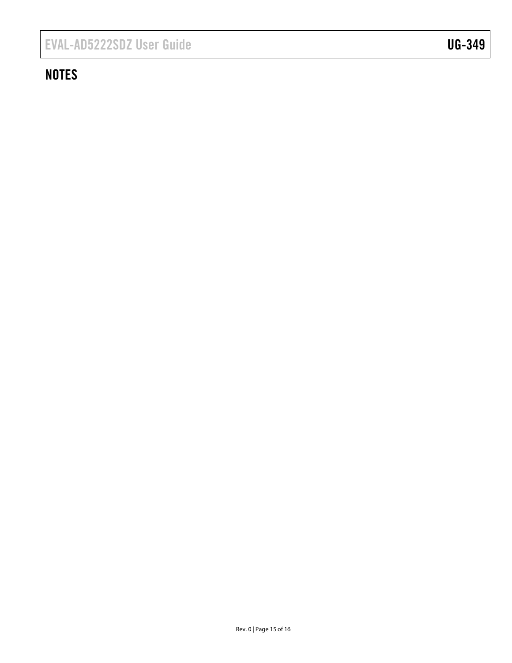# <span id="page-14-0"></span>**NOTES**